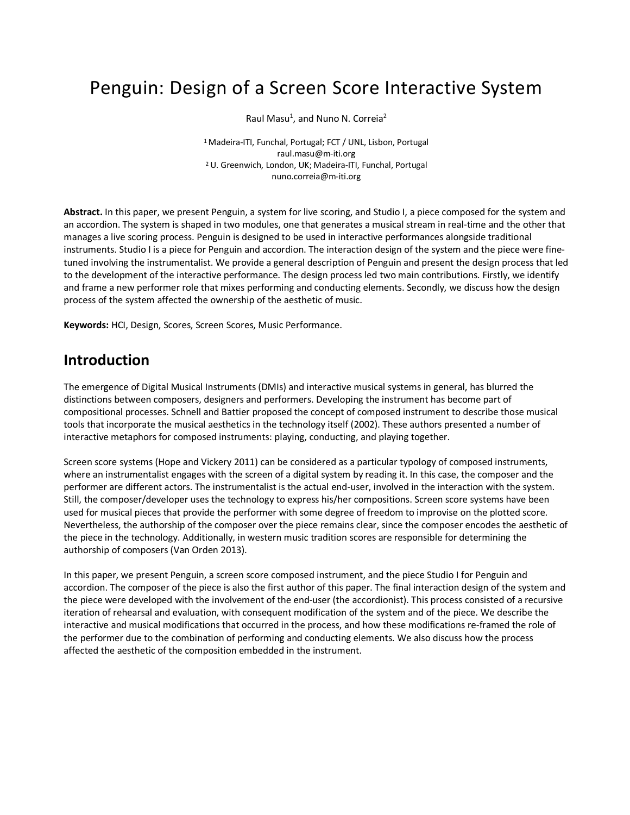# Penguin: Design of a Screen Score Interactive System

Raul Masu<sup>1</sup>, and Nuno N. Correia<sup>2</sup>

1 Madeira-ITI, Funchal, Portugal; FCT / UNL, Lisbon, Portugal raul.masu@m-iti.org 2 U. Greenwich, London, UK; Madeira-ITI, Funchal, Portugal nuno.correia@m-iti.org

**Abstract.** In this paper, we present Penguin, a system for live scoring, and Studio I, a piece composed for the system and an accordion. The system is shaped in two modules, one that generates a musical stream in real-time and the other that manages a live scoring process. Penguin is designed to be used in interactive performances alongside traditional instruments. Studio I is a piece for Penguin and accordion. The interaction design of the system and the piece were finetuned involving the instrumentalist. We provide a general description of Penguin and present the design process that led to the development of the interactive performance. The design process led two main contributions. Firstly, we identify and frame a new performer role that mixes performing and conducting elements. Secondly, we discuss how the design process of the system affected the ownership of the aesthetic of music.

**Keywords:** HCI, Design, Scores, Screen Scores, Music Performance.

### **Introduction**

The emergence of Digital Musical Instruments (DMIs) and interactive musical systems in general, has blurred the distinctions between composers, designers and performers. Developing the instrument has become part of compositional processes. Schnell and Battier proposed the concept of composed instrument to describe those musical tools that incorporate the musical aesthetics in the technology itself (2002). These authors presented a number of interactive metaphors for composed instruments: playing, conducting, and playing together.

Screen score systems (Hope and Vickery 2011) can be considered as a particular typology of composed instruments, where an instrumentalist engages with the screen of a digital system by reading it. In this case, the composer and the performer are different actors. The instrumentalist is the actual end-user, involved in the interaction with the system. Still, the composer/developer uses the technology to express his/her compositions. Screen score systems have been used for musical pieces that provide the performer with some degree of freedom to improvise on the plotted score. Nevertheless, the authorship of the composer over the piece remains clear, since the composer encodes the aesthetic of the piece in the technology. Additionally, in western music tradition scores are responsible for determining the authorship of composers (Van Orden 2013).

In this paper, we present Penguin, a screen score composed instrument, and the piece Studio I for Penguin and accordion. The composer of the piece is also the first author of this paper. The final interaction design of the system and the piece were developed with the involvement of the end-user (the accordionist). This process consisted of a recursive iteration of rehearsal and evaluation, with consequent modification of the system and of the piece. We describe the interactive and musical modifications that occurred in the process, and how these modifications re-framed the role of the performer due to the combination of performing and conducting elements. We also discuss how the process affected the aesthetic of the composition embedded in the instrument.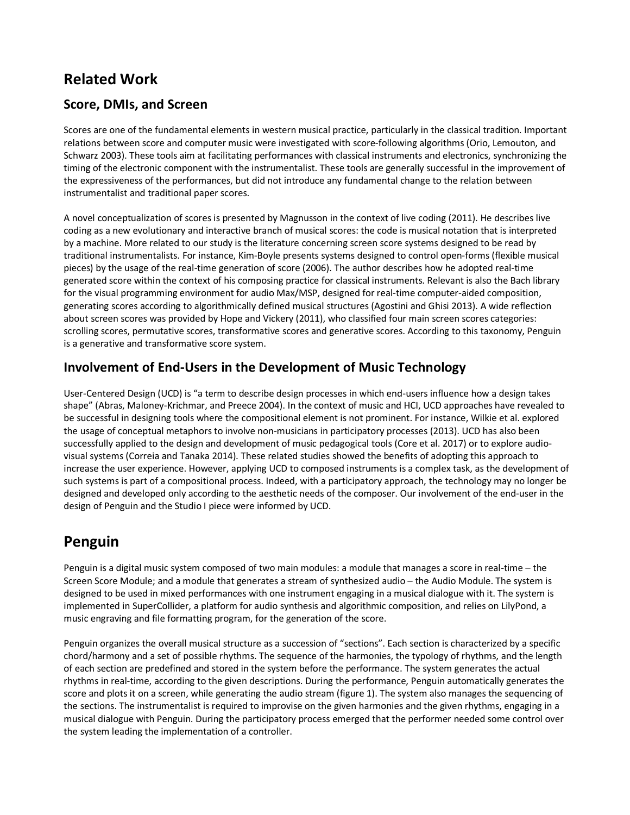# **Related Work**

#### **Score, DMIs, and Screen**

Scores are one of the fundamental elements in western musical practice, particularly in the classical tradition. Important relations between score and computer music were investigated with score-following algorithms (Orio, Lemouton, and Schwarz 2003). These tools aim at facilitating performances with classical instruments and electronics, synchronizing the timing of the electronic component with the instrumentalist. These tools are generally successful in the improvement of the expressiveness of the performances, but did not introduce any fundamental change to the relation between instrumentalist and traditional paper scores.

A novel conceptualization of scores is presented by Magnusson in the context of live coding (2011). He describes live coding as a new evolutionary and interactive branch of musical scores: the code is musical notation that is interpreted by a machine. More related to our study is the literature concerning screen score systems designed to be read by traditional instrumentalists. For instance, Kim-Boyle presents systems designed to control open-forms (flexible musical pieces) by the usage of the real-time generation of score (2006). The author describes how he adopted real-time generated score within the context of his composing practice for classical instruments. Relevant is also the Bach library for the visual programming environment for audio Max/MSP, designed for real-time computer-aided composition, generating scores according to algorithmically defined musical structures (Agostini and Ghisi 2013). A wide reflection about screen scores was provided by Hope and Vickery (2011), who classified four main screen scores categories: scrolling scores, permutative scores, transformative scores and generative scores. According to this taxonomy, Penguin is a generative and transformative score system.

### **Involvement of End-Users in the Development of Music Technology**

User-Centered Design (UCD) is "a term to describe design processes in which end-users influence how a design takes shape" (Abras, Maloney-Krichmar, and Preece 2004). In the context of music and HCI, UCD approaches have revealed to be successful in designing tools where the compositional element is not prominent. For instance, Wilkie et al. explored the usage of conceptual metaphors to involve non-musicians in participatory processes (2013). UCD has also been successfully applied to the design and development of music pedagogical tools (Core et al. 2017) or to explore audiovisual systems (Correia and Tanaka 2014). These related studies showed the benefits of adopting this approach to increase the user experience. However, applying UCD to composed instruments is a complex task, as the development of such systems is part of a compositional process. Indeed, with a participatory approach, the technology may no longer be designed and developed only according to the aesthetic needs of the composer. Our involvement of the end-user in the design of Penguin and the Studio I piece were informed by UCD.

# **Penguin**

Penguin is a digital music system composed of two main modules: a module that manages a score in real-time – the Screen Score Module; and a module that generates a stream of synthesized audio – the Audio Module. The system is designed to be used in mixed performances with one instrument engaging in a musical dialogue with it. The system is implemented in SuperCollider, a platform for audio synthesis and algorithmic composition, and relies on LilyPond, a music engraving and file formatting program, for the generation of the score.

Penguin organizes the overall musical structure as a succession of "sections". Each section is characterized by a specific chord/harmony and a set of possible rhythms. The sequence of the harmonies, the typology of rhythms, and the length of each section are predefined and stored in the system before the performance. The system generates the actual rhythms in real-time, according to the given descriptions. During the performance, Penguin automatically generates the score and plots it on a screen, while generating the audio stream (figure 1). The system also manages the sequencing of the sections. The instrumentalist is required to improvise on the given harmonies and the given rhythms, engaging in a musical dialogue with Penguin. During the participatory process emerged that the performer needed some control over the system leading the implementation of a controller.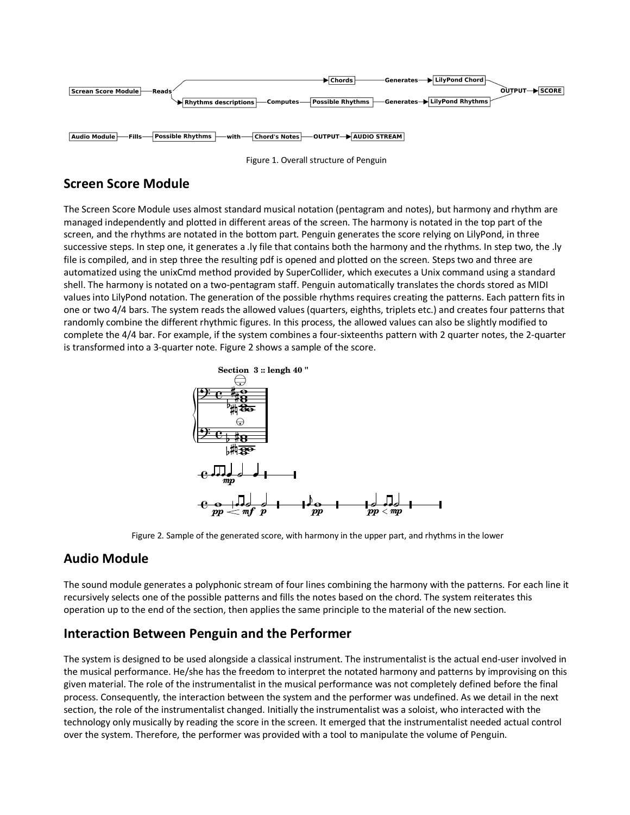

Figure 1. Overall structure of Penguin

### **Screen Score Module**

The Screen Score Module uses almost standard musical notation (pentagram and notes), but harmony and rhythm are managed independently and plotted in different areas of the screen. The harmony is notated in the top part of the screen, and the rhythms are notated in the bottom part. Penguin generates the score relying on LilyPond, in three successive steps. In step one, it generates a .ly file that contains both the harmony and the rhythms. In step two, the .ly file is compiled, and in step three the resulting pdf is opened and plotted on the screen. Steps two and three are automatized using the unixCmd method provided by SuperCollider, which executes a Unix command using a standard shell. The harmony is notated on a two-pentagram staff. Penguin automatically translates the chords stored as MIDI values into LilyPond notation. The generation of the possible rhythms requires creating the patterns. Each pattern fits in one or two 4/4 bars. The system reads the allowed values (quarters, eighths, triplets etc.) and creates four patterns that randomly combine the different rhythmic figures. In this process, the allowed values can also be slightly modified to complete the 4/4 bar. For example, if the system combines a four-sixteenths pattern with 2 quarter notes, the 2-quarter is transformed into a 3-quarter note. Figure 2 shows a sample of the score.



Figure 2. Sample of the generated score, with harmony in the upper part, and rhythms in the lower

### **Audio Module**

The sound module generates a polyphonic stream of four lines combining the harmony with the patterns. For each line it recursively selects one of the possible patterns and fills the notes based on the chord. The system reiterates this operation up to the end of the section, then applies the same principle to the material of the new section.

#### **Interaction Between Penguin and the Performer**

The system is designed to be used alongside a classical instrument. The instrumentalist is the actual end-user involved in the musical performance. He/she has the freedom to interpret the notated harmony and patterns by improvising on this given material. The role of the instrumentalist in the musical performance was not completely defined before the final process. Consequently, the interaction between the system and the performer was undefined. As we detail in the next section, the role of the instrumentalist changed. Initially the instrumentalist was a soloist, who interacted with the technology only musically by reading the score in the screen. It emerged that the instrumentalist needed actual control over the system. Therefore, the performer was provided with a tool to manipulate the volume of Penguin.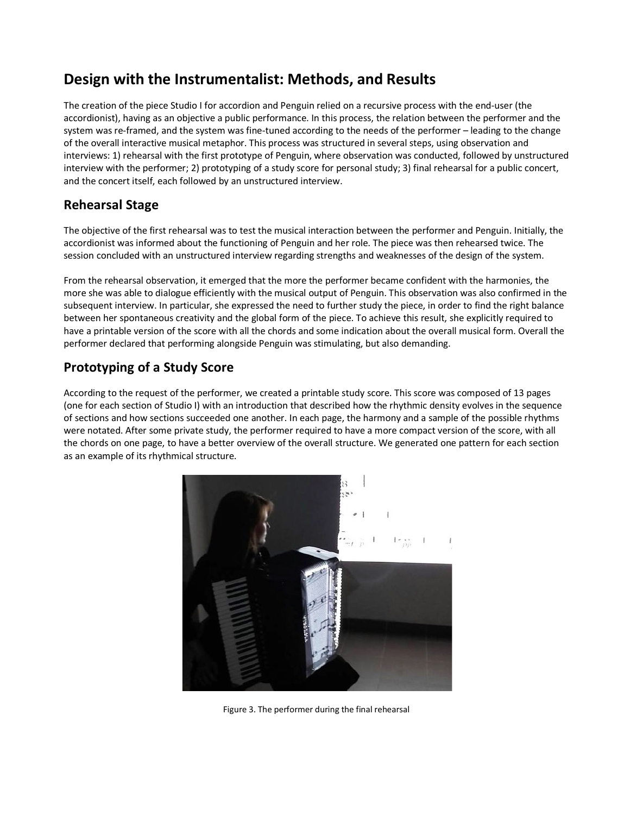# **Design with the Instrumentalist: Methods, and Results**

The creation of the piece Studio I for accordion and Penguin relied on a recursive process with the end-user (the accordionist), having as an objective a public performance. In this process, the relation between the performer and the system was re-framed, and the system was fine-tuned according to the needs of the performer – leading to the change of the overall interactive musical metaphor. This process was structured in several steps, using observation and interviews: 1) rehearsal with the first prototype of Penguin, where observation was conducted, followed by unstructured interview with the performer; 2) prototyping of a study score for personal study; 3) final rehearsal for a public concert, and the concert itself, each followed by an unstructured interview.

### **Rehearsal Stage**

The objective of the first rehearsal was to test the musical interaction between the performer and Penguin. Initially, the accordionist was informed about the functioning of Penguin and her role. The piece was then rehearsed twice. The session concluded with an unstructured interview regarding strengths and weaknesses of the design of the system.

From the rehearsal observation, it emerged that the more the performer became confident with the harmonies, the more she was able to dialogue efficiently with the musical output of Penguin. This observation was also confirmed in the subsequent interview. In particular, she expressed the need to further study the piece, in order to find the right balance between her spontaneous creativity and the global form of the piece. To achieve this result, she explicitly required to have a printable version of the score with all the chords and some indication about the overall musical form. Overall the performer declared that performing alongside Penguin was stimulating, but also demanding.

## **Prototyping of a Study Score**

According to the request of the performer, we created a printable study score. This score was composed of 13 pages (one for each section of Studio I) with an introduction that described how the rhythmic density evolves in the sequence of sections and how sections succeeded one another. In each page, the harmony and a sample of the possible rhythms were notated. After some private study, the performer required to have a more compact version of the score, with all the chords on one page, to have a better overview of the overall structure. We generated one pattern for each section as an example of its rhythmical structure.



Figure 3. The performer during the final rehearsal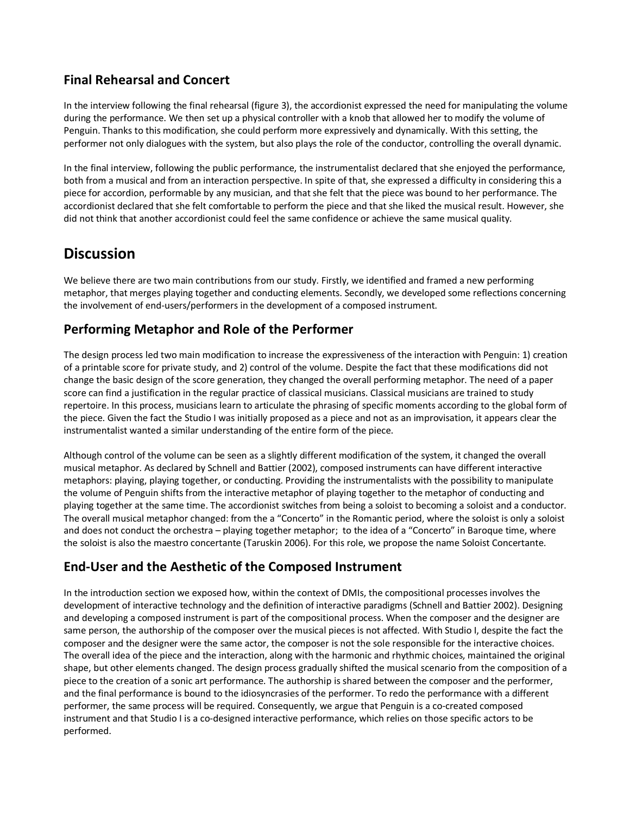### **Final Rehearsal and Concert**

In the interview following the final rehearsal (figure 3), the accordionist expressed the need for manipulating the volume during the performance. We then set up a physical controller with a knob that allowed her to modify the volume of Penguin. Thanks to this modification, she could perform more expressively and dynamically. With this setting, the performer not only dialogues with the system, but also plays the role of the conductor, controlling the overall dynamic.

In the final interview, following the public performance, the instrumentalist declared that she enjoyed the performance, both from a musical and from an interaction perspective. In spite of that, she expressed a difficulty in considering this a piece for accordion, performable by any musician, and that she felt that the piece was bound to her performance. The accordionist declared that she felt comfortable to perform the piece and that she liked the musical result. However, she did not think that another accordionist could feel the same confidence or achieve the same musical quality.

# **Discussion**

We believe there are two main contributions from our study. Firstly, we identified and framed a new performing metaphor, that merges playing together and conducting elements. Secondly, we developed some reflections concerning the involvement of end-users/performers in the development of a composed instrument.

### **Performing Metaphor and Role of the Performer**

The design process led two main modification to increase the expressiveness of the interaction with Penguin: 1) creation of a printable score for private study, and 2) control of the volume. Despite the fact that these modifications did not change the basic design of the score generation, they changed the overall performing metaphor. The need of a paper score can find a justification in the regular practice of classical musicians. Classical musicians are trained to study repertoire. In this process, musicians learn to articulate the phrasing of specific moments according to the global form of the piece. Given the fact the Studio I was initially proposed as a piece and not as an improvisation, it appears clear the instrumentalist wanted a similar understanding of the entire form of the piece.

Although control of the volume can be seen as a slightly different modification of the system, it changed the overall musical metaphor. As declared by Schnell and Battier (2002), composed instruments can have different interactive metaphors: playing, playing together, or conducting. Providing the instrumentalists with the possibility to manipulate the volume of Penguin shifts from the interactive metaphor of playing together to the metaphor of conducting and playing together at the same time. The accordionist switches from being a soloist to becoming a soloist and a conductor. The overall musical metaphor changed: from the a "Concerto" in the Romantic period, where the soloist is only a soloist and does not conduct the orchestra – playing together metaphor; to the idea of a "Concerto" in Baroque time, where the soloist is also the maestro concertante (Taruskin 2006). For this role, we propose the name Soloist Concertante.

### **End-User and the Aesthetic of the Composed Instrument**

In the introduction section we exposed how, within the context of DMIs, the compositional processes involves the development of interactive technology and the definition of interactive paradigms (Schnell and Battier 2002). Designing and developing a composed instrument is part of the compositional process. When the composer and the designer are same person, the authorship of the composer over the musical pieces is not affected. With Studio I, despite the fact the composer and the designer were the same actor, the composer is not the sole responsible for the interactive choices. The overall idea of the piece and the interaction, along with the harmonic and rhythmic choices, maintained the original shape, but other elements changed. The design process gradually shifted the musical scenario from the composition of a piece to the creation of a sonic art performance. The authorship is shared between the composer and the performer, and the final performance is bound to the idiosyncrasies of the performer. To redo the performance with a different performer, the same process will be required. Consequently, we argue that Penguin is a co-created composed instrument and that Studio I is a co-designed interactive performance, which relies on those specific actors to be performed.